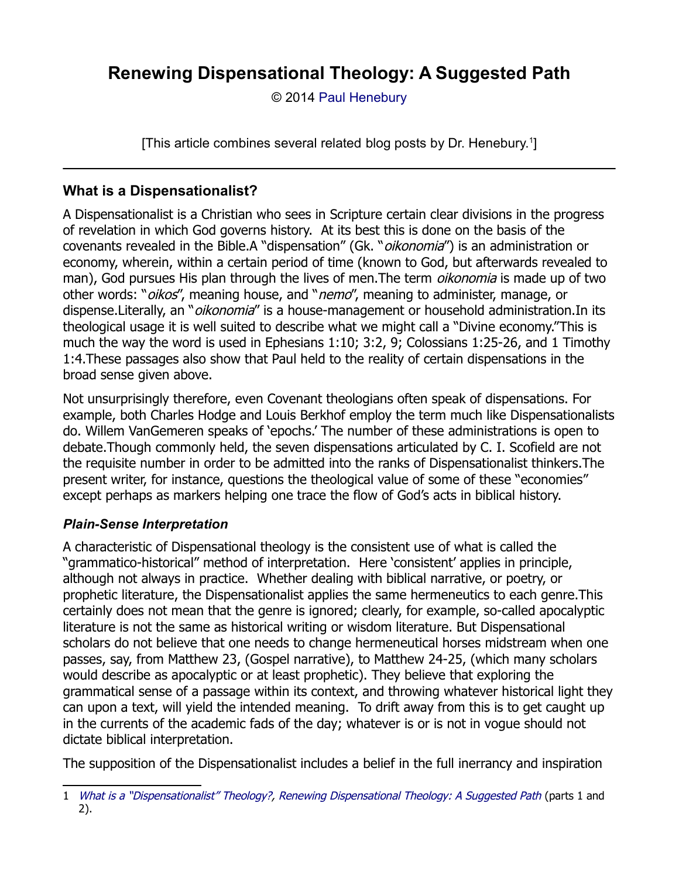© 2014 [Paul Henebury](http://www.spiritandtruth.org/id/ph.htm)

[This article combines several related blog posts by Dr. Henebury.<sup>[1](#page-0-0)</sup>]

# **What is a Dispensationalist?**

A Dispensationalist is a Christian who sees in Scripture certain clear divisions in the progress of revelation in which God governs history. At its best this is done on the basis of the covenants revealed in the Bible.A "dispensation" (Gk. "*oikonomia*") is an administration or economy, wherein, within a certain period of time (known to God, but afterwards revealed to man), God pursues His plan through the lives of men. The term *oikonomia* is made up of two other words: "*oikos"*, meaning house, and "*nemo"*, meaning to administer, manage, or dispense.Literally, an "*oikonomia"* is a house-management or household administration.In its theological usage it is well suited to describe what we might call a "Divine economy."This is much the way the word is used in Ephesians 1:10; 3:2, 9; Colossians 1:25-26, and 1 Timothy 1:4.These passages also show that Paul held to the reality of certain dispensations in the broad sense given above.

Not unsurprisingly therefore, even Covenant theologians often speak of dispensations. For example, both Charles Hodge and Louis Berkhof employ the term much like Dispensationalists do. Willem VanGemeren speaks of 'epochs.' The number of these administrations is open to debate.Though commonly held, the seven dispensations articulated by C. I. Scofield are not the requisite number in order to be admitted into the ranks of Dispensationalist thinkers.The present writer, for instance, questions the theological value of some of these "economies" except perhaps as markers helping one trace the flow of God's acts in biblical history.

## *Plain-Sense Interpretation*

A characteristic of Dispensational theology is the consistent use of what is called the "grammatico-historical" method of interpretation. Here 'consistent' applies in principle, although not always in practice. Whether dealing with biblical narrative, or poetry, or prophetic literature, the Dispensationalist applies the same hermeneutics to each genre.This certainly does not mean that the genre is ignored; clearly, for example, so-called apocalyptic literature is not the same as historical writing or wisdom literature. But Dispensational scholars do not believe that one needs to change hermeneutical horses midstream when one passes, say, from Matthew 23, (Gospel narrative), to Matthew 24-25, (which many scholars would describe as apocalyptic or at least prophetic). They believe that exploring the grammatical sense of a passage within its context, and throwing whatever historical light they can upon a text, will yield the intended meaning. To drift away from this is to get caught up in the currents of the academic fads of the day; whatever is or is not in vogue should not dictate biblical interpretation.

The supposition of the Dispensationalist includes a belief in the full inerrancy and inspiration

<span id="page-0-0"></span><sup>1</sup> [What is a "Dispensationalist" Theology?,](http://drreluctant.wordpress.com/2014/02/11/what-is-a-%E2%80%9Cdispensationalist%E2%80%9D-theology/) [Renewing Dispensational Theology: A Suggested Path](http://drreluctant.wordpress.com/2014/03/04/renewing-dispensational-theology-a-suggested-path-2/) (parts 1 and 2).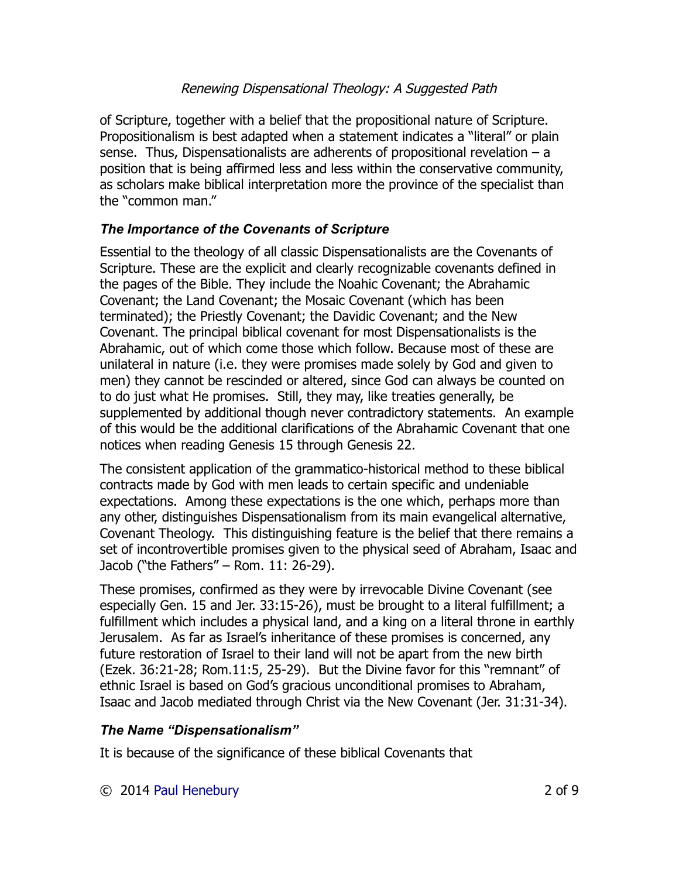of Scripture, together with a belief that the propositional nature of Scripture. Propositionalism is best adapted when a statement indicates a "literal" or plain sense. Thus, Dispensationalists are adherents of propositional revelation – a position that is being affirmed less and less within the conservative community, as scholars make biblical interpretation more the province of the specialist than the "common man."

## *The Importance of the Covenants of Scripture*

Essential to the theology of all classic Dispensationalists are the Covenants of Scripture. These are the explicit and clearly recognizable covenants defined in the pages of the Bible. They include the Noahic Covenant; the Abrahamic Covenant; the Land Covenant; the Mosaic Covenant (which has been terminated); the Priestly Covenant; the Davidic Covenant; and the New Covenant. The principal biblical covenant for most Dispensationalists is the Abrahamic, out of which come those which follow. Because most of these are unilateral in nature (i.e. they were promises made solely by God and given to men) they cannot be rescinded or altered, since God can always be counted on to do just what He promises. Still, they may, like treaties generally, be supplemented by additional though never contradictory statements. An example of this would be the additional clarifications of the Abrahamic Covenant that one notices when reading Genesis 15 through Genesis 22.

The consistent application of the grammatico-historical method to these biblical contracts made by God with men leads to certain specific and undeniable expectations. Among these expectations is the one which, perhaps more than any other, distinguishes Dispensationalism from its main evangelical alternative, Covenant Theology. This distinguishing feature is the belief that there remains a set of incontrovertible promises given to the physical seed of Abraham, Isaac and Jacob ("the Fathers" – Rom. 11: 26-29).

These promises, confirmed as they were by irrevocable Divine Covenant (see especially Gen. 15 and Jer. 33:15-26), must be brought to a literal fulfillment; a fulfillment which includes a physical land, and a king on a literal throne in earthly Jerusalem. As far as Israel's inheritance of these promises is concerned, any future restoration of Israel to their land will not be apart from the new birth (Ezek. 36:21-28; Rom.11:5, 25-29). But the Divine favor for this "remnant" of ethnic Israel is based on God's gracious unconditional promises to Abraham, Isaac and Jacob mediated through Christ via the New Covenant (Jer. 31:31-34).

## *The Name "Dispensationalism"*

It is because of the significance of these biblical Covenants that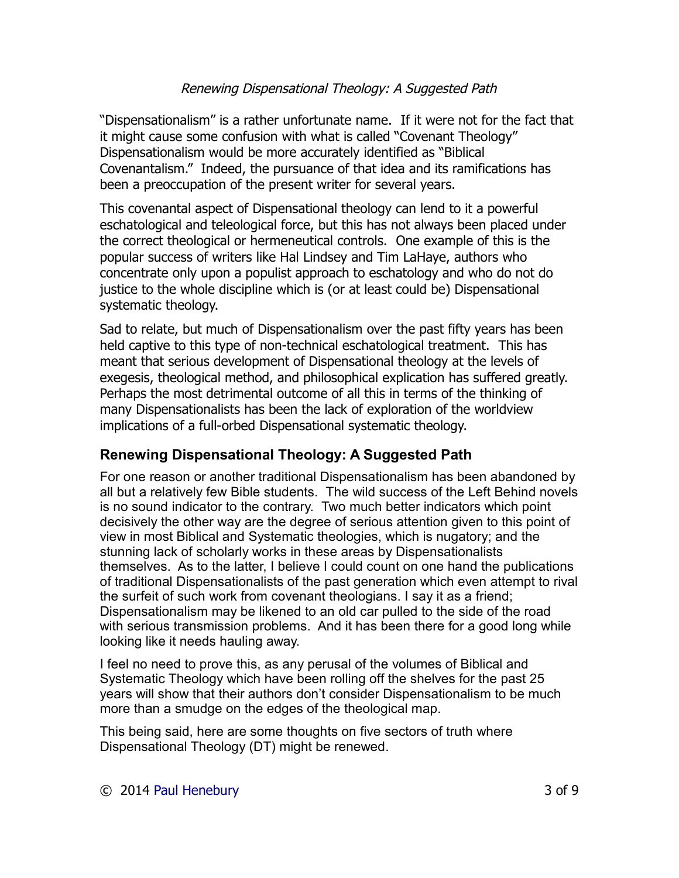"Dispensationalism" is a rather unfortunate name. If it were not for the fact that it might cause some confusion with what is called "Covenant Theology" Dispensationalism would be more accurately identified as "Biblical Covenantalism." Indeed, the pursuance of that idea and its ramifications has been a preoccupation of the present writer for several years.

This covenantal aspect of Dispensational theology can lend to it a powerful eschatological and teleological force, but this has not always been placed under the correct theological or hermeneutical controls. One example of this is the popular success of writers like Hal Lindsey and Tim LaHaye, authors who concentrate only upon a populist approach to eschatology and who do not do justice to the whole discipline which is (or at least could be) Dispensational systematic theology.

Sad to relate, but much of Dispensationalism over the past fifty years has been held captive to this type of non-technical eschatological treatment. This has meant that serious development of Dispensational theology at the levels of exegesis, theological method, and philosophical explication has suffered greatly. Perhaps the most detrimental outcome of all this in terms of the thinking of many Dispensationalists has been the lack of exploration of the worldview implications of a full-orbed Dispensational systematic theology.

## **Renewing Dispensational Theology: A Suggested Path**

For one reason or another traditional Dispensationalism has been abandoned by all but a relatively few Bible students. The wild success of the Left Behind novels is no sound indicator to the contrary. Two much better indicators which point decisively the other way are the degree of serious attention given to this point of view in most Biblical and Systematic theologies, which is nugatory; and the stunning lack of scholarly works in these areas by Dispensationalists themselves. As to the latter, I believe I could count on one hand the publications of traditional Dispensationalists of the past generation which even attempt to rival the surfeit of such work from covenant theologians. I say it as a friend; Dispensationalism may be likened to an old car pulled to the side of the road with serious transmission problems. And it has been there for a good long while looking like it needs hauling away.

I feel no need to prove this, as any perusal of the volumes of Biblical and Systematic Theology which have been rolling off the shelves for the past 25 years will show that their authors don't consider Dispensationalism to be much more than a smudge on the edges of the theological map.

This being said, here are some thoughts on five sectors of truth where Dispensational Theology (DT) might be renewed.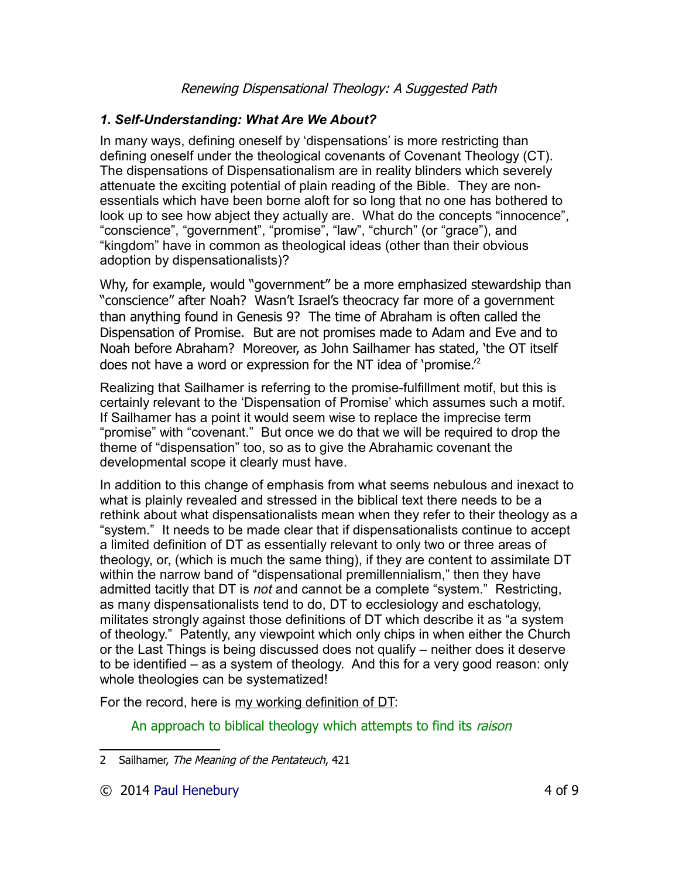## *1. Self-Understanding: What Are We About?*

In many ways, defining oneself by 'dispensations' is more restricting than defining oneself under the theological covenants of Covenant Theology (CT). The dispensations of Dispensationalism are in reality blinders which severely attenuate the exciting potential of plain reading of the Bible. They are nonessentials which have been borne aloft for so long that no one has bothered to look up to see how abject they actually are. What do the concepts "innocence", "conscience", "government", "promise", "law", "church" (or "grace"), and "kingdom" have in common as theological ideas (other than their obvious adoption by dispensationalists)?

Why, for example, would "government" be a more emphasized stewardship than "conscience" after Noah? Wasn't Israel's theocracy far more of a government than anything found in Genesis 9? The time of Abraham is often called the Dispensation of Promise. But are not promises made to Adam and Eve and to Noah before Abraham? Moreover, as John Sailhamer has stated, 'the OT itself does not have a word or expression for the NT idea of 'promise.'[2](#page-3-0)

Realizing that Sailhamer is referring to the promise-fulfillment motif, but this is certainly relevant to the 'Dispensation of Promise' which assumes such a motif. If Sailhamer has a point it would seem wise to replace the imprecise term "promise" with "covenant." But once we do that we will be required to drop the theme of "dispensation" too, so as to give the Abrahamic covenant the developmental scope it clearly must have.

In addition to this change of emphasis from what seems nebulous and inexact to what is plainly revealed and stressed in the biblical text there needs to be a rethink about what dispensationalists mean when they refer to their theology as a "system." It needs to be made clear that if dispensationalists continue to accept a limited definition of DT as essentially relevant to only two or three areas of theology, or, (which is much the same thing), if they are content to assimilate DT within the narrow band of "dispensational premillennialism," then they have admitted tacitly that DT is *not* and cannot be a complete "system." Restricting, as many dispensationalists tend to do, DT to ecclesiology and eschatology, militates strongly against those definitions of DT which describe it as "a system of theology." Patently, any viewpoint which only chips in when either the Church or the Last Things is being discussed does not qualify – neither does it deserve to be identified – as a system of theology. And this for a very good reason: only whole theologies can be systematized!

For the record, here is my working definition of DT:

An approach to biblical theology which attempts to find its raison

<span id="page-3-0"></span><sup>2</sup> Sailhamer, The Meaning of the Pentateuch, 421

<sup>© 2014</sup> [Paul Henebury](http://www.spiritandtruth.org/id/ph.htm) 4 of 9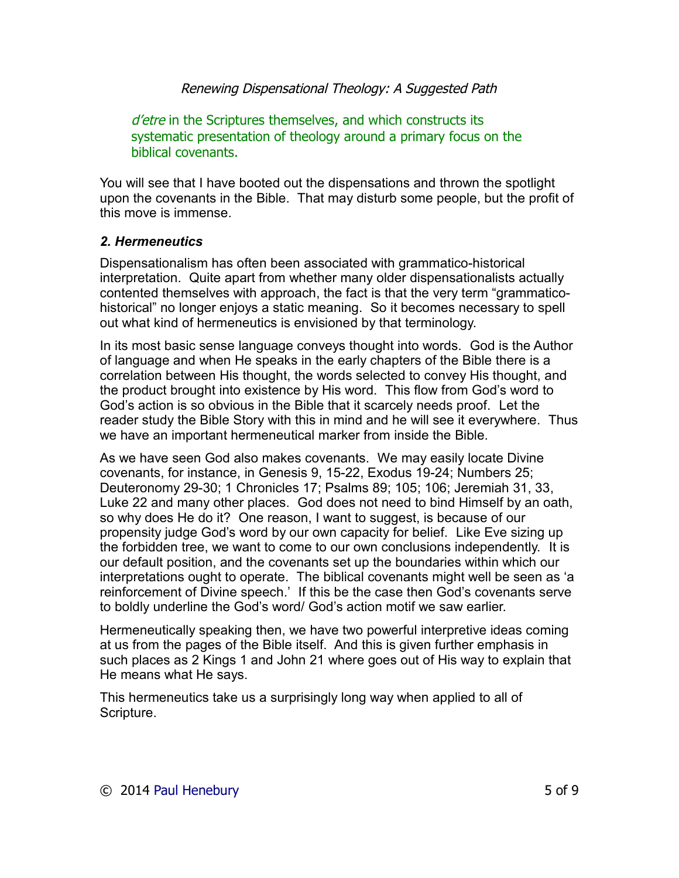d'etre in the Scriptures themselves, and which constructs its systematic presentation of theology around a primary focus on the biblical covenants.

You will see that I have booted out the dispensations and thrown the spotlight upon the covenants in the Bible. That may disturb some people, but the profit of this move is immense.

#### *2. Hermeneutics*

Dispensationalism has often been associated with grammatico-historical interpretation. Quite apart from whether many older dispensationalists actually contented themselves with approach, the fact is that the very term "grammaticohistorical" no longer enjoys a static meaning. So it becomes necessary to spell out what kind of hermeneutics is envisioned by that terminology.

In its most basic sense language conveys thought into words. God is the Author of language and when He speaks in the early chapters of the Bible there is a correlation between His thought, the words selected to convey His thought, and the product brought into existence by His word. This flow from God's word to God's action is so obvious in the Bible that it scarcely needs proof. Let the reader study the Bible Story with this in mind and he will see it everywhere. Thus we have an important hermeneutical marker from inside the Bible.

As we have seen God also makes covenants. We may easily locate Divine covenants, for instance, in Genesis 9, 15-22, Exodus 19-24; Numbers 25; Deuteronomy 29-30; 1 Chronicles 17; Psalms 89; 105; 106; Jeremiah 31, 33, Luke 22 and many other places. God does not need to bind Himself by an oath, so why does He do it? One reason, I want to suggest, is because of our propensity judge God's word by our own capacity for belief. Like Eve sizing up the forbidden tree, we want to come to our own conclusions independently. It is our default position, and the covenants set up the boundaries within which our interpretations ought to operate. The biblical covenants might well be seen as 'a reinforcement of Divine speech.' If this be the case then God's covenants serve to boldly underline the God's word/ God's action motif we saw earlier.

Hermeneutically speaking then, we have two powerful interpretive ideas coming at us from the pages of the Bible itself. And this is given further emphasis in such places as 2 Kings 1 and John 21 where goes out of His way to explain that He means what He says.

This hermeneutics take us a surprisingly long way when applied to all of Scripture.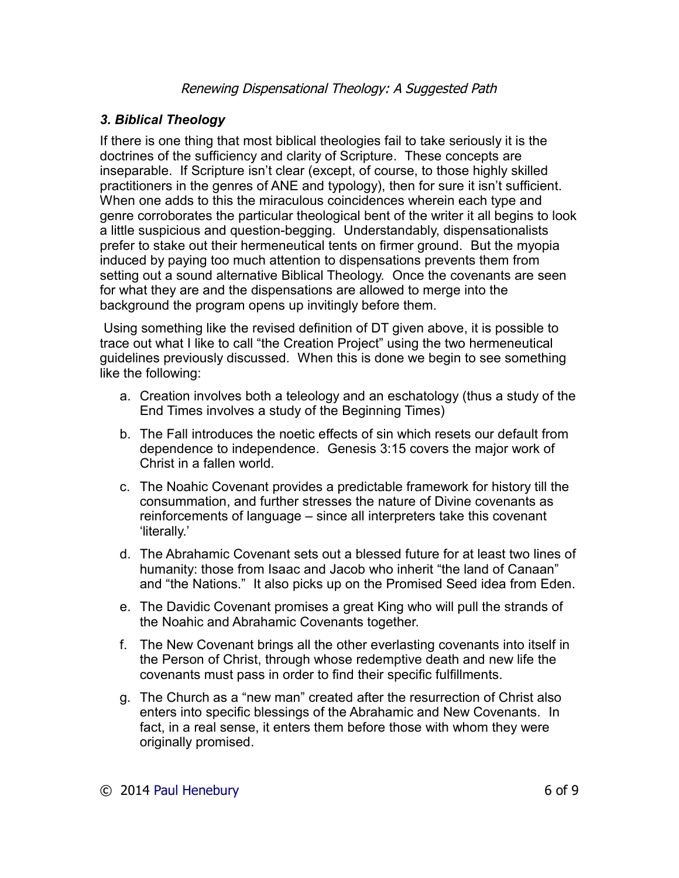## *3. Biblical Theology*

If there is one thing that most biblical theologies fail to take seriously it is the doctrines of the sufficiency and clarity of Scripture. These concepts are inseparable. If Scripture isn't clear (except, of course, to those highly skilled practitioners in the genres of ANE and typology), then for sure it isn't sufficient. When one adds to this the miraculous coincidences wherein each type and genre corroborates the particular theological bent of the writer it all begins to look a little suspicious and question-begging. Understandably, dispensationalists prefer to stake out their hermeneutical tents on firmer ground. But the myopia induced by paying too much attention to dispensations prevents them from setting out a sound alternative Biblical Theology. Once the covenants are seen for what they are and the dispensations are allowed to merge into the background the program opens up invitingly before them.

Using something like the revised definition of DT given above, it is possible to trace out what I like to call "the Creation Project" using the two hermeneutical guidelines previously discussed. When this is done we begin to see something like the following:

- a. Creation involves both a teleology and an eschatology (thus a study of the End Times involves a study of the Beginning Times)
- b. The Fall introduces the noetic effects of sin which resets our default from dependence to independence. Genesis 3:15 covers the major work of Christ in a fallen world.
- c. The Noahic Covenant provides a predictable framework for history till the consummation, and further stresses the nature of Divine covenants as reinforcements of language – since all interpreters take this covenant 'literally.'
- d. The Abrahamic Covenant sets out a blessed future for at least two lines of humanity: those from Isaac and Jacob who inherit "the land of Canaan" and "the Nations." It also picks up on the Promised Seed idea from Eden.
- e. The Davidic Covenant promises a great King who will pull the strands of the Noahic and Abrahamic Covenants together.
- f. The New Covenant brings all the other everlasting covenants into itself in the Person of Christ, through whose redemptive death and new life the covenants must pass in order to find their specific fulfillments.
- g. The Church as a "new man" created after the resurrection of Christ also enters into specific blessings of the Abrahamic and New Covenants. In fact, in a real sense, it enters them before those with whom they were originally promised.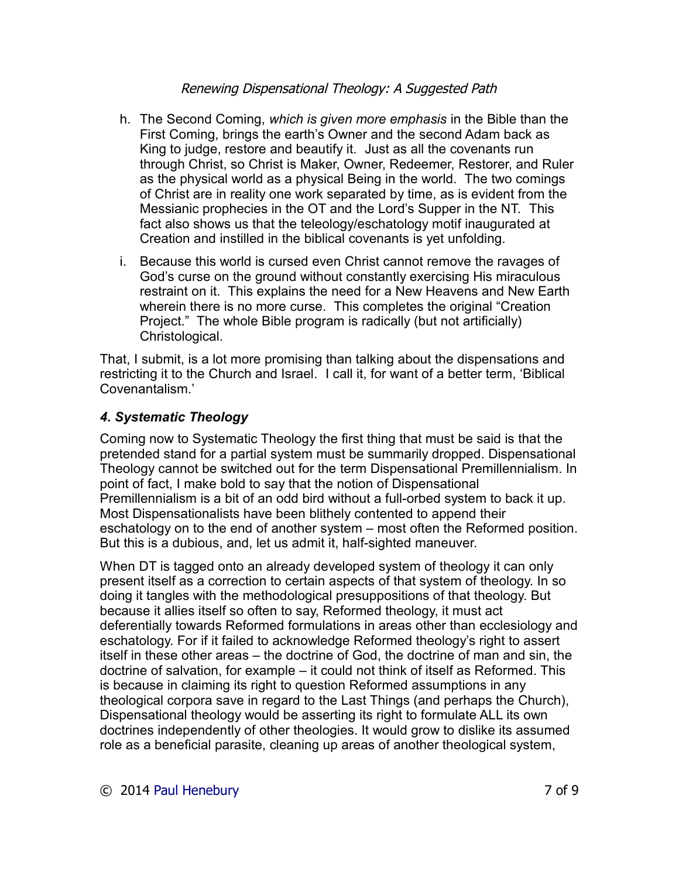- h. The Second Coming, *which is given more emphasis* in the Bible than the First Coming, brings the earth's Owner and the second Adam back as King to judge, restore and beautify it. Just as all the covenants run through Christ, so Christ is Maker, Owner, Redeemer, Restorer, and Ruler as the physical world as a physical Being in the world. The two comings of Christ are in reality one work separated by time, as is evident from the Messianic prophecies in the OT and the Lord's Supper in the NT. This fact also shows us that the teleology/eschatology motif inaugurated at Creation and instilled in the biblical covenants is yet unfolding.
- i. Because this world is cursed even Christ cannot remove the ravages of God's curse on the ground without constantly exercising His miraculous restraint on it. This explains the need for a New Heavens and New Earth wherein there is no more curse. This completes the original "Creation Project." The whole Bible program is radically (but not artificially) Christological.

That, I submit, is a lot more promising than talking about the dispensations and restricting it to the Church and Israel. I call it, for want of a better term, 'Biblical Covenantalism.'

## *4. Systematic Theology*

Coming now to Systematic Theology the first thing that must be said is that the pretended stand for a partial system must be summarily dropped. Dispensational Theology cannot be switched out for the term Dispensational Premillennialism. In point of fact, I make bold to say that the notion of Dispensational Premillennialism is a bit of an odd bird without a full-orbed system to back it up. Most Dispensationalists have been blithely contented to append their eschatology on to the end of another system – most often the Reformed position. But this is a dubious, and, let us admit it, half-sighted maneuver.

When DT is tagged onto an already developed system of theology it can only present itself as a correction to certain aspects of that system of theology. In so doing it tangles with the methodological presuppositions of that theology. But because it allies itself so often to say, Reformed theology, it must act deferentially towards Reformed formulations in areas other than ecclesiology and eschatology. For if it failed to acknowledge Reformed theology's right to assert itself in these other areas – the doctrine of God, the doctrine of man and sin, the doctrine of salvation, for example – it could not think of itself as Reformed. This is because in claiming its right to question Reformed assumptions in any theological corpora save in regard to the Last Things (and perhaps the Church), Dispensational theology would be asserting its right to formulate ALL its own doctrines independently of other theologies. It would grow to dislike its assumed role as a beneficial parasite, cleaning up areas of another theological system,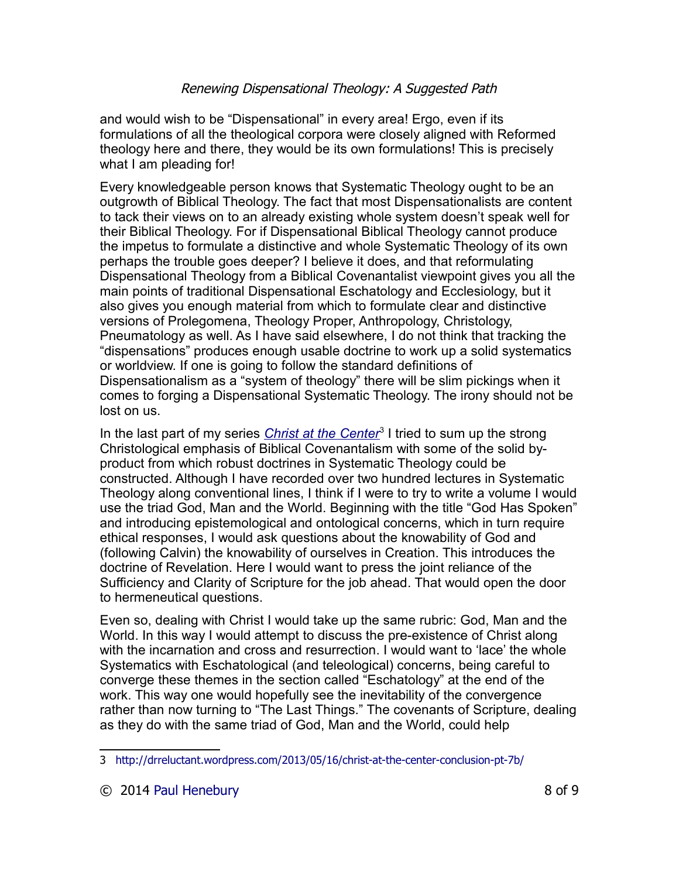and would wish to be "Dispensational" in every area! Ergo, even if its formulations of all the theological corpora were closely aligned with Reformed theology here and there, they would be its own formulations! This is precisely what I am pleading for!

Every knowledgeable person knows that Systematic Theology ought to be an outgrowth of Biblical Theology. The fact that most Dispensationalists are content to tack their views on to an already existing whole system doesn't speak well for their Biblical Theology. For if Dispensational Biblical Theology cannot produce the impetus to formulate a distinctive and whole Systematic Theology of its own perhaps the trouble goes deeper? I believe it does, and that reformulating Dispensational Theology from a Biblical Covenantalist viewpoint gives you all the main points of traditional Dispensational Eschatology and Ecclesiology, but it also gives you enough material from which to formulate clear and distinctive versions of Prolegomena, Theology Proper, Anthropology, Christology, Pneumatology as well. As I have said elsewhere, I do not think that tracking the "dispensations" produces enough usable doctrine to work up a solid systematics or worldview. If one is going to follow the standard definitions of Dispensationalism as a "system of theology" there will be slim pickings when it comes to forging a Dispensational Systematic Theology. The irony should not be lost on us.

In the last part of my series *[Christ at the Center](http://drreluctant.wordpress.com/2013/05/16/christ-at-the-center-conclusion-pt-7b/)*<sup>[3](#page-7-0)</sup> I tried to sum up the strong Christological emphasis of Biblical Covenantalism with some of the solid byproduct from which robust doctrines in Systematic Theology could be constructed. Although I have recorded over two hundred lectures in Systematic Theology along conventional lines, I think if I were to try to write a volume I would use the triad God, Man and the World. Beginning with the title "God Has Spoken" and introducing epistemological and ontological concerns, which in turn require ethical responses, I would ask questions about the knowability of God and (following Calvin) the knowability of ourselves in Creation. This introduces the doctrine of Revelation. Here I would want to press the joint reliance of the Sufficiency and Clarity of Scripture for the job ahead. That would open the door to hermeneutical questions.

Even so, dealing with Christ I would take up the same rubric: God, Man and the World. In this way I would attempt to discuss the pre-existence of Christ along with the incarnation and cross and resurrection. I would want to 'lace' the whole Systematics with Eschatological (and teleological) concerns, being careful to converge these themes in the section called "Eschatology" at the end of the work. This way one would hopefully see the inevitability of the convergence rather than now turning to "The Last Things." The covenants of Scripture, dealing as they do with the same triad of God, Man and the World, could help

<span id="page-7-0"></span><sup>3</sup> <http://drreluctant.wordpress.com/2013/05/16/christ-at-the-center-conclusion-pt-7b/>